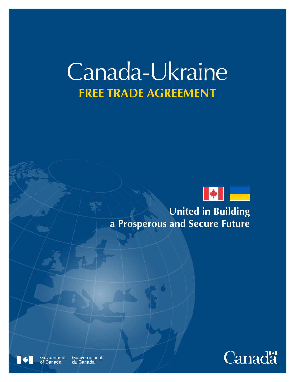# Canada-Ukraine **FREE TRADE AGREEMENT**



**United in Building a Prosperous and Secure Future**



Government Gouvernement du Canada

Canada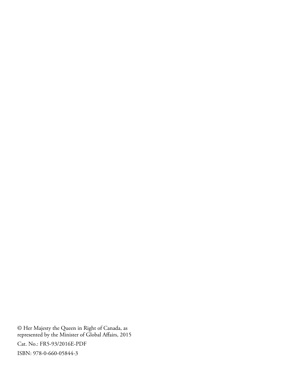© Her Majesty the Queen in Right of Canada, as represented by the Minister of Global Affairs, 2015

Cat. No.: FR5-93/2016E-PDF

ISBN: 978-0-660-05844-3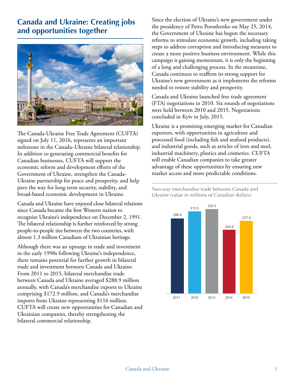## **Canada and Ukraine: Creating jobs and opportunities together**



The Canada-Ukraine Free Trade Agreement (CUFTA) signed on July 11, 2016, represents an important milestone in the Canada–Ukraine bilateral relationship. In addition to generating commercial benefits for Canadian businesses, CUFTA will support the economic reform and development efforts of the Government of Ukraine, strengthen the Canada-Ukraine partnership for peace and prosperity, and help pave the way for long-term security, stability, and broad-based economic development in Ukraine.

Canada and Ukraine have enjoyed close bilateral relations since Canada became the first Western nation to recognize Ukraine's independence on December 2, 1991. The bilateral relationship is further reinforced by strong people-to-people ties between the two countries, with almost 1.3 million Canadians of Ukrainian heritage.

Although there was an upsurge in trade and investment in the early 1990s following Ukraine's independence, there remains potential for further growth in bilateral trade and investment between Canada and Ukraine. From 2011 to 2015, bilateral merchandise trade between Canada and Ukraine averaged \$288.9 million annually, with Canada's merchandise exports to Ukraine comprising \$172.9 million, and Canada's merchandise imports from Ukraine representing \$116 million. CUFTA will create new opportunities for Canadian and Ukrainian companies, thereby strengthening the bilateral commercial relationship.

Since the election of Ukraine's new government under the presidency of Petro Poroshenko on May 25, 2014, the Government of Ukraine has begun the necessary reforms to stimulate economic growth, including taking steps to address corruption and introducing measures to create a more positive business environment. While this campaign is gaining momentum, it is only the beginning of a long and challenging process. In the meantime, Canada continues to reaffirm its strong support for Ukraine's new government as it implements the reforms needed to restore stability and prosperity.

Canada and Ukraine launched free trade agreement (FTA) negotiations in 2010. Six rounds of negotiations were held between 2010 and 2015. Negotiations concluded in Kyiv in July, 2015.

Ukraine is a promising emerging market for Canadian exporters, with opportunities in agriculture and processed food (including fish and seafood products), and industrial goods, such as articles of iron and steel, industrial machinery, plastics and cosmetics. CUFTA will enable Canadian companies to take greater advantage of these opportunities by ensuring new market access and more predictable conditions.

Two-way merchandise trade between Canada and Ukraine (value in millions of Canadian dollars)

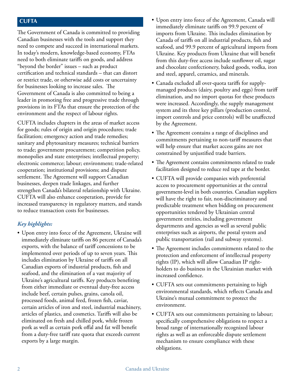#### **CUFTA**

The Government of Canada is committed to providing Canadian businesses with the tools and support they need to compete and succeed in international markets. In today's modern, knowledge-based economy, FTAs need to both eliminate tariffs on goods, and address "beyond the border" issues – such as product certification and technical standards – that can distort or restrict trade, or otherwise add costs or uncertainty for businesses looking to increase sales. The Government of Canada is also committed to being a leader in promoting free and progressive trade through provisions in its FTAs that ensure the protection of the environment and the respect of labour rights.

CUFTA includes chapters in the areas of market access for goods; rules of origin and origin procedures; trade facilitation; emergency action and trade remedies; sanitary and phytosanitary measures; technical barriers to trade; government procurement; competition policy, monopolies and state enterprises; intellectual property; electronic commerce; labour; environment; trade-related cooperation; institutional provisions; and dispute settlement. The Agreement will support Canadian businesses, deepen trade linkages, and further strengthen Canada's bilateral relationship with Ukraine. CUFTA will also enhance cooperation, provide for increased transparency in regulatory matters, and stands to reduce transaction costs for businesses.

#### *Key highlights:*

• Upon entry into force of the Agreement, Ukraine will immediately eliminate tariffs on 86 percent of Canada's exports, with the balance of tariff concessions to be implemented over periods of up to seven years. This includes elimination by Ukraine of tariffs on all Canadian exports of industrial products, fish and seafood, and the elimination of a vast majority of Ukraine's agricultural tariffs. Key products benefiting from either immediate or eventual duty-free access include beef, certain pulses, grains, canola oil, processed foods, animal feed, frozen fish, caviar, certain articles of iron and steel, industrial machinery, articles of plastics, and cosmetics. Tariffs will also be eliminated on fresh and chilled pork, while frozen pork as well as certain pork offal and fat will benefit from a duty-free tariff rate quota that exceeds current exports by a large margin.

- Upon entry into force of the Agreement, Canada will immediately eliminate tariffs on 99.9 percent of imports from Ukraine. This includes elimination by Canada of tariffs on all industrial products, fish and seafood, and 99.9 percent of agricultural imports from Ukraine. Key products from Ukraine that will benefit from this duty-free access include sunflower oil, sugar and chocolate confectionery, baked goods, vodka, iron and steel, apparel, ceramics, and minerals.
- Canada excluded all over-quota tariffs for supplymanaged products (dairy, poultry and eggs) from tariff elimination, and no import quotas for these products were increased. Accordingly, the supply management system and its three key pillars (production control, import controls and price controls) will be unaffected by the Agreement.
- The Agreement contains a range of disciplines and commitments pertaining to non-tariff measures that will help ensure that market access gains are not constrained by unjustified trade barriers.
- The Agreement contains commitments related to trade facilitation designed to reduce red tape at the border.
- CUFTA will provide companies with preferential access to procurement opportunities at the central government-level in both countries. Canadian suppliers will have the right to fair, non-discriminatory and predictable treatment when bidding on procurement opportunities tendered by Ukrainian central government entities, including government departments and agencies as well as several public enterprises such as airports, the postal system and public transportation (rail and subway systems).
- The Agreement includes commitments related to the protection and enforcement of intellectual property rights (IP), which will allow Canadian IP rightholders to do business in the Ukrainian market with increased confidence.
- CUFTA sets out commitments pertaining to high environmental standards, which reflects Canada and Ukraine's mutual commitment to protect the environment.
- CUFTA sets out commitments pertaining to labour; specifically comprehensive obligations to respect a broad range of internationally recognized labour rights as well as an enforceable dispute settlement mechanism to ensure compliance with these obligations.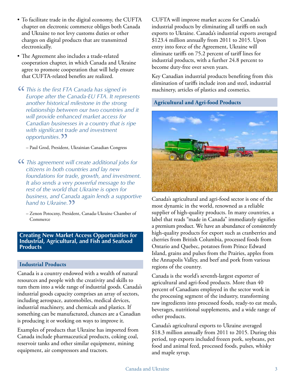- To facilitate trade in the digital economy, the CUFTA chapter on electronic commerce obliges both Canada and Ukraine to not levy customs duties or other charges on digital products that are transmitted electronically.
- The Agreement also includes a trade-related cooperation chapter, in which Canada and Ukraine agree to promote cooperation that will help ensure that CUFTA-related benefits are realized.
- "  *This is the first FTA Canada has signed in Europe after the Canada-EU FTA. It represents another historical milestone in the strong relationship between our two countries and it will provide enhanced market access for Canadian businesses in a country that is ripe with significant trade and investment* o*pportunities.* ??<br>- Paul Grod, President

– Paul Grod, President, Ukrainian Canadian Congress

- " *This agreement will create additional jobs for citizens in both countries and lay new foundations for trade, growth, and investment. It also sends a very powerful message to the rest of the world that Ukraine is open for business, and Canada again lends a supportive hand to Ukraine.*
	- hand to Ukraine. 22<br>- Zenon Potoczny, President, Canada-Ukraine Chamber of Commerce

#### **Creating New Market Access Opportunities for Industrial, Agricultural, and Fish and Seafood Products**

#### **Industrial Products**

Canada is a country endowed with a wealth of natural resources and people with the creativity and skills to turn them into a wide range of industrial goods. Canada's industrial goods capacity comprises an array of sectors, including aerospace, automobiles, medical devices, industrial machinery, and chemicals and plastics. If something can be manufactured, chances are a Canadian is producing it or working on ways to improve it.

Examples of products that Ukraine has imported from Canada include pharmaceutical products, coking coal, reservoir tanks and other similar equipment, mining equipment, air compressors and tractors.

CUFTA will improve market access for Canada's industrial products by eliminating all tariffs on such exports to Ukraine. Canada's industrial exports averaged \$123.4 million annually from 2011 to 2015. Upon entry into force of the Agreement, Ukraine will eliminate tariffs on 75.2 percent of tariff lines for industrial products, with a further 24.8 percent to become duty-free over seven years.

Key Canadian industrial products benefiting from this elimination of tariffs include iron and steel, industrial machinery, articles of plastics and cosmetics.

### **Agricultural and Agri-food Products**



Canada's agricultural and agri-food sector is one of the most dynamic in the world, renowned as a reliable supplier of high-quality products. In many countries, a label that reads "made in Canada" immediately signifies a premium product. We have an abundance of consistently high-quality products for export such as cranberries and cherries from British Columbia, processed foods from Ontario and Quebec, potatoes from Prince Edward Island, grains and pulses from the Prairies, apples from the Annapolis Valley, and beef and pork from various regions of the country.

Canada is the world's seventh-largest exporter of agricultural and agri-food products. More than 40 percent of Canadians employed in the sector work in the processing segment of the industry, transforming raw ingredients into processed foods, ready-to eat meals, beverages, nutritional supplements, and a wide range of other products.

Canada's agricultural exports to Ukraine averaged \$18.3 million annually from 2011 to 2015. During this period, top exports included frozen pork, soybeans, pet food and animal feed, processed foods, pulses, whisky and maple syrup.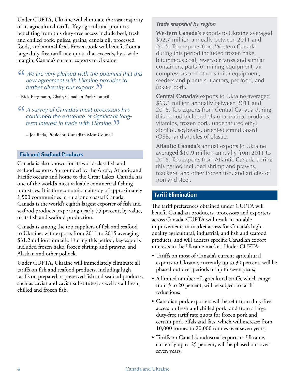Under CUFTA, Ukraine will eliminate the vast majority of its agricultural tariffs. Key agricultural products benefiting from this duty-free access include beef, fresh and chilled pork, pulses, grains, canola oil, processed foods, and animal feed. Frozen pork will benefit from a large duty-free tariff rate quota that exceeds, by a wide margin, Canada's current exports to Ukraine.

# *CC We* are very pleased with the potential that this new agreement with Ukraine provides to further diversify our exports.  $\overline{22}$ *new agreement with Ukraine provides to further diversify our exports.* 22<br>ck Bergmann, Chair, Canadian Pork Cour

- Rick Bergmann, Chair, Canadian Pork Council.
- " *<sup>A</sup> survey of Canada's meat processors has confirmed the existence of significant longterm interest in trade with Ukraine.* "
	- Joe Reda, President, Canadian Meat Council

#### **Fish and Seafood Products**

Canada is also known for its world-class fish and seafood exports. Surrounded by the Arctic, Atlantic and Pacific oceans and home to the Great Lakes, Canada has one of the world's most valuable commercial fishing industries. It is the economic mainstay of approximately 1,500 communities in rural and coastal Canada. Canada is the world's eighth largest exporter of fish and seafood products, exporting nearly 75 percent, by value, of its fish and seafood production.

Canada is among the top suppliers of fish and seafood to Ukraine, with exports from 2011 to 2015 averaging \$31.2 million annually. During this period, key exports included frozen hake, frozen shrimp and prawns, and Alaskan and other pollock.

Under CUFTA, Ukraine will immediately eliminate all tariffs on fish and seafood products, including high tariffs on prepared or preserved fish and seafood products, such as caviar and caviar substitutes, as well as all fresh, chilled and frozen fish.

#### *Trade snapshot by region*

**Western Canada's** exports to Ukraine averaged \$92.7 million annually between 2011 and 2015. Top exports from Western Canada during this period included frozen hake, bituminous coal, reservoir tanks and similar containers, parts for mining equipment, air compressors and other similar equipment, seeders and planters, tractors, pet food, and frozen pork.

**Central Canada's** exports to Ukraine averaged \$69.1 million annually between 2011 and 2015. Top exports from Central Canada during this period included pharmaceutical products, vitamins, frozen pork, undenatured ethyl alcohol, soybeans, oriented strand board (OSB), and articles of plastic.

**Atlantic Canada's** annual exports to Ukraine averaged \$10.9 million annually from 2011 to 2015. Top exports from Atlantic Canada during this period included shrimp and prawns, mackerel and other frozen fish, and articles of iron and steel.

#### **Tariff Elimination**

The tariff preferences obtained under CUFTA will benefit Canadian producers, processors and exporters across Canada. CUFTA will result in notable improvements in market access for Canada's highquality agricultural, industrial, and fish and seafood products, and will address specific Canadian export interests in the Ukraine market. Under CUFTA:

- Tariffs on most of Canada's current agricultural exports to Ukraine, currently up to 30 percent, will be phased out over periods of up to seven years;
- A limited number of agricultural tariffs, which range from 5 to 20 percent, will be subject to tariff reductions;
- Canadian pork exporters will benefit from duty-free access on fresh and chilled pork, and from a large duty-free tariff rate quota for frozen pork and certain pork offals and fats, which will increase from 10,000 tonnes to 20,000 tonnes over seven years;
- Tariffs on Canada's industrial exports to Ukraine, currently up to 25 percent, will be phased out over seven years;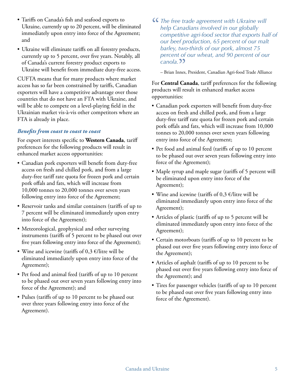- Tariffs on Canada's fish and seafood exports to Ukraine, currently up to 20 percent, will be eliminated immediately upon entry into force of the Agreement; and
- Ukraine will eliminate tariffs on all forestry products, currently up to 5 percent, over five years. Notably, all of Canada's current forestry product exports to Ukraine will benefit from immediate duty-free access.

CUFTA means that for many products where market access has so far been constrained by tariffs, Canadian exporters will have a competitive advantage over those countries that do not have an FTA with Ukraine, and will be able to compete on a level-playing field in the Ukrainian market vis-à-vis other competitors where an FTA is already in place.

#### *Benefits from coast to coast to coast*

For export interests specific to **Western Canada**, tariff preferences for the following products will result in enhanced market access opportunities:

- Canadian pork exporters will benefit from duty-free access on fresh and chilled pork, and from a large duty-free tariff rate quota for frozen pork and certain pork offals and fats, which will increase from 10,000 tonnes to 20,000 tonnes over seven years following entry into force of the Agreement;
- Reservoir tanks and similar containers (tariffs of up to 7 percent will be eliminated immediately upon entry into force of the Agreement);
- Meteorological, geophysical and other surveying instruments (tariffs of 5 percent to be phased out over five years following entry into force of the Agreement);
- Wine and icewine (tariffs of  $0,3$  €/litre will be eliminated immediately upon entry into force of the Agreement);
- Pet food and animal feed (tariffs of up to 10 percent to be phased out over seven years following entry into force of the Agreement); and
- Pulses (tariffs of up to 10 percent to be phased out over three years following entry into force of the Agreement).
- "  *The free trade agreement with Ukraine will help Canadians involved in our globally competitive agri-food sector that exports half of our beef production, 65 percent of our malt barley, two-thirds of our pork, almost 75 percent of our wheat, and 90 percent of our*
	- **Canola**. <sup>1</sup> – Brian Innes, President, Canadian Agri-food Trade Alliance

For **Central Canada**, tariff preferences for the following products will result in enhanced market access opportunities:

- Canadian pork exporters will benefit from duty-free access on fresh and chilled pork, and from a large duty-free tariff rate quota for frozen pork and certain pork offals and fats, which will increase from 10,000 tonnes to 20,000 tonnes over seven years following entry into force of the Agreement;
- Pet food and animal feed (tariffs of up to 10 percent to be phased out over seven years following entry into force of the Agreement);
- Maple syrup and maple sugar (tariffs of 5 percent will be eliminated upon entry into force of the Agreement);
- Wine and icewine (tariffs of  $0.3 \in$ /litre will be eliminated immediately upon entry into force of the Agreement);
- Articles of plastic (tariffs of up to 5 percent will be eliminated immediately upon entry into force of the Agreement);
- Certain motorboats (tariffs of up to 10 percent to be phased out over five years following entry into force of the Agreement);
- Articles of asphalt (tariffs of up to 10 percent to be phased out over five years following entry into force of the Agreement); and
- Tires for passenger vehicles (tariffs of up to 10 percent to be phased out over five years following entry into force of the Agreement).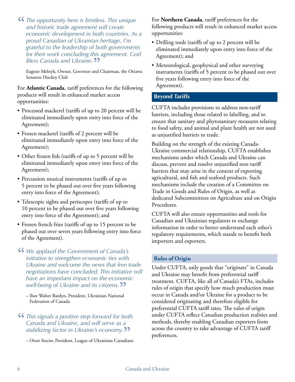"  *The opportunity here is limitless. This unique and historic trade agreement will create economic development in both countries. As a proud Canadian of Ukrainian heritage, I'm grateful to the leadership of both governments for their work concluding this agreement. God Bless Canada and Ukraine.*

Bless Canada and Ukraine. 22<br>Eugene Melnyk, Owner, Governor and Chairman, the Ottawa<br>S Senators Hockey Club

For **Atlantic Canada**, tariff preferences for the following products will result in enhanced market access opportunities:

- Processed mackerel (tariffs of up to 20 percent will be eliminated immediately upon entry into force of the Agreement);
- Frozen mackerel (tariffs of 2 percent will be eliminated immediately upon entry into force of the Agreement);
- Other frozen fish (tariffs of up to 5 percent will be eliminated immediately upon entry into force of the Agreement);
- Percussion musical instruments (tariffs of up to 5 percent to be phased out over five years following entry into force of the Agreement);
- Telescopic sights and periscopes (tariffs of up to 10 percent to be phased out over five years following entry into force of the Agreement); and
- Frozen french fries (tariffs of up to 15 percent to be phased out over seven years following entry into force of the Agreement).
- "  *We applaud the Government of Canada's initiative to strengthen economic ties with Ukraine and welcome the news that free trade negotiations have concluded. This initiative will have an important impact on the economic*
	- *well-being of Ukraine and its citizens.*<br>
	 Ihor Walter Bardyn, President, Ukrainian National<br>
	Federation of Gunda – Ihor Walter Bardyn, President, Ukrainian National Federation of Canada
- "  *This signals a positive step forward for both Canada and Ukraine, and will serve as a stabilizing factor in Ukraine's economy.* "

– Orest Steciw, President, League of Ukrainian Canadians

For **Northern Canada**, tariff preferences for the following products will result in enhanced market access opportunities:

- Drilling tools (tariffs of up to 2 percent will be eliminated immediately upon entry into force of the Agreement); and
- Meteorological, geophysical and other surveying instruments (tariffs of 5 percent to be phased out over five years following entry into force of the Agreement).

#### **Beyond Tariffs**

CUFTA includes provisions to address non-tariff barriers, including those related to labelling, and to ensure that sanitary and phytosanitary measures relating to food safety, and animal and plant health are not used as unjustified barriers to trade.

Building on the strength of the existing Canada-Ukraine commercial relationship, CUFTA establishes mechanisms under which Canada and Ukraine can discuss, prevent and resolve unjustified non-tariff barriers that may arise in the context of exporting agricultural, and fish and seafood products. Such mechanisms include the creation of a Committee on Trade in Goods and Rules of Origin, as well as dedicated Subcommittees on Agriculture and on Origin Procedures.

CUFTA will also ensure opportunities and tools for Canadian and Ukrainian regulators to exchange information in order to better understand each other's regulatory requirements, which stands to benefit both importers and exporters.

#### **Rules of Origin**

Under CUFTA, only goods that "originate" in Canada and Ukraine may benefit from preferential tariff treatment. CUFTA, like all of Canada's FTAs, includes rules of origin that specify how much production must occur in Canada and/or Ukraine for a product to be considered originating and therefore eligible for preferential CUFTA tariff rates. The rules of origin under CUFTA reflect Canadian production realities and methods, thereby enabling Canadian exporters from across the country to take advantage of CUFTA tariff preferences.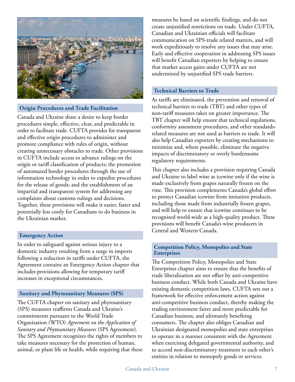

#### **Origin Procedures and Trade Facilitation**

Canada and Ukraine share a desire to keep border procedures simple, effective, clear, and predictable in order to facilitate trade. CUFTA provides for transparent and effective origin procedures to administer and promote compliance with rules of origin, without creating unnecessary obstacles to trade. Other provisions in CUFTA include access to advance rulings on the origin or tariff classification of products; the promotion of automated border procedures through the use of information technology in order to expedite procedures for the release of goods; and the establishment of an impartial and transparent system for addressing any complaints about customs rulings and decisions. Together, these provisions will make it easier, faster and potentially less costly for Canadians to do business in the Ukrainian market.

#### **Emergency Action**

In order to safeguard against serious injury to a domestic industry resulting from a surge in imports following a reduction in tariffs under CUFTA, the Agreement contains an Emergency Action chapter that includes provisions allowing for temporary tariff increases in exceptional circumstances.

#### **Sanitary and Phytosanitary Measures (SPS)**

The CUFTA chapter on sanitary and phytosanitary (SPS) measures reaffirms Canada and Ukraine's commitments pursuant to the World Trade Organization (WTO) *Agreement on the Application of Sanitary and Phytosanitary Measures* (SPS Agreement). The SPS Agreement recognizes the rights of members to take measures necessary for the protection of human, animal, or plant life or health, while requiring that these measures be based on scientific findings, and do not create unjustified restrictions on trade. Under CUFTA, Canadian and Ukrainian officials will facilitate communication on SPS-trade related matters, and will work expeditiously to resolve any issues that may arise. Early and effective cooperation in addressing SPS issues will benefit Canadian exporters by helping to ensure that market access gains under CUFTA are not undermined by unjustified SPS trade barriers.

#### **Technical Barriers to Trade**

As tariffs are eliminated, the prevention and removal of technical barriers to trade (TBT) and other types of non-tariff measures takes on greater importance. The TBT chapter will help ensure that technical regulations, conformity assessment procedures, and other standardsrelated measures are not used as barriers to trade. It will also help Canadian exporters by creating mechanisms to minimize and, where possible, eliminate the negative impacts of discriminatory or overly burdensome regulatory requirements.

This chapter also includes a provision requiring Canada and Ukraine to label wine as icewine only if the wine is made exclusively from grapes naturally frozen on the vine. This provision complements Canada's global effort to protect Canadian icewine from imitation products, including those made from industrially frozen grapes, and will help to ensure that icewine continues to be recognized world-wide as a high-quality product. These provisions will benefit Canada's wine producers in Central and Western Canada.

#### **Competition Policy, Monopolies and State Enterprises**

The Competition Policy, Monopolies and State Enterprises chapter aims to ensure that the benefits of trade liberalization are not offset by anti-competitive business conduct. While both Canada and Ukraine have existing domestic competition laws, CUFTA sets out a framework for effective enforcement action against anti-competitive business conduct, thereby making the trading environment fairer and more predictable for Canadian business, and ultimately benefiting consumers. The chapter also obliges Canadian and Ukrainian designated monopolies and state enterprises to operate in a manner consistent with the Agreement when exercising delegated governmental authority, and to accord non-discriminatory treatment to each other's entities in relation to monopoly goods or services.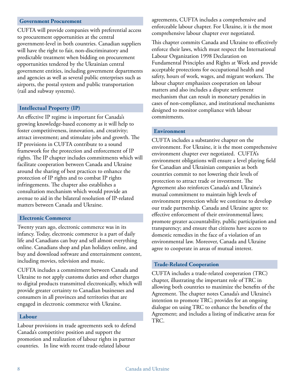#### **Government Procurement**

CUFTA will provide companies with preferential access to procurement opportunities at the central government-level in both countries. Canadian suppliers will have the right to fair, non-discriminatory and predictable treatment when bidding on procurement opportunities tendered by the Ukrainian central government entities, including government departments and agencies as well as several public enterprises such as airports, the postal system and public transportation (rail and subway systems).

#### **Intellectual Property (IP)**

An effective IP regime is important for Canada's growing knowledge-based economy as it will help to foster competitiveness, innovation, and creativity; attract investment; and stimulate jobs and growth. The IP provisions in CUFTA contribute to a sound framework for the protection and enforcement of IP rights. The IP chapter includes commitments which will facilitate cooperation between Canada and Ukraine around the sharing of best practices to enhance the protection of IP rights and to combat IP rights infringements. The chapter also establishes a consultation mechanism which would provide an avenue to aid in the bilateral resolution of IP-related matters between Canada and Ukraine.

#### **Electronic Commerce**

Twenty years ago, electronic commerce was in its infancy. Today, electronic commerce is a part of daily life and Canadians can buy and sell almost everything online. Canadians shop and plan holidays online, and buy and download software and entertainment content, including movies, television and music.

CUFTA includes a commitment between Canada and Ukraine to not apply customs duties and other charges to digital products transmitted electronically, which will provide greater certainty to Canadian businesses and consumers in all provinces and territories that are engaged in electronic commerce with Ukraine.

#### **Labour**

Labour provisions in trade agreements seek to defend Canada's competitive position and support the promotion and realization of labour rights in partner countries. In line with recent trade-related labour

agreements, CUFTA includes a comprehensive and enforceable labour chapter. For Ukraine, it is the most comprehensive labour chapter ever negotiated.

This chapter commits Canada and Ukraine to effectively enforce their laws, which must respect the International Labour Organization 1998 Declaration on Fundamental Principles and Rights at Work and provide acceptable protections for occupational health and safety, hours of work, wages, and migrant workers. The labour chapter emphasizes cooperation on labour matters and also includes a dispute settlement mechanism that can result in monetary penalties in cases of non-compliance, and institutional mechanisms designed to monitor compliance with labour commitments.

#### **Environment**

CUFTA includes a substantive chapter on the environment. For Ukraine, it is the most comprehensive environment chapter ever negotiated. CUFTA's environment obligations will ensure a level playing field for Canadian and Ukrainian companies as both countries commit to not lowering their levels of protection to attract trade or investment. The Agreement also reinforces Canada's and Ukraine's mutual commitment to maintain high levels of environment protection while we continue to develop our trade partnership. Canada and Ukraine agree to: effective enforcement of their environmental laws; promote greater accountability, public participation and transparency; and ensure that citizens have access to domestic remedies in the face of a violation of an environmental law. Moreover, Canada and Ukraine agree to cooperate in areas of mutual interest.

#### **Trade-Related Cooperation**

CUFTA includes a trade-related cooperation (TRC) chapter, illustrating the important role of TRC in allowing both countries to maximize the benefits of the Agreement. The chapter notes Canada's and Ukraine's intention to promote TRC; provides for an ongoing dialogue on using TRC to enhance the benefits of the Agreement; and includes a listing of indicative areas for TRC.